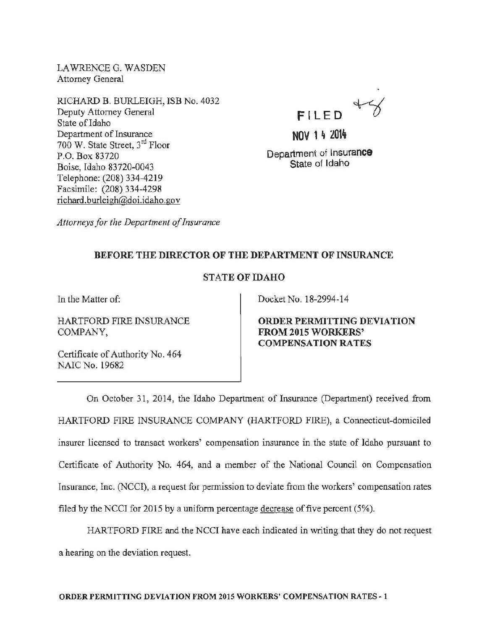LAWRENCE G. WASDEN Attorney General

RICHARD B. BURLEIGH, ISB No. 4032 Deputy Attorney General State of Idaho Department of Insurance 700 W. State Street, 3<sup>rd</sup> Floor P.O. Box 83720 Boise, Idaho 83720~0043 Telephone: (208) 334-4219 Facsimile: (208) 334-4298 richard.burleigh@doi.idaho.gov

 $47$ FILED

 $N$  1  $4 \ 201\frac{1}{2}$ Department of Insurance State of Idaho

*Attorneys for the Department of Insurance* 

## BEFORE THE DIRECTOR OF THE DEPARTMENT OF INSURANCE

## STATE OF IDAHO

In the Matter of:

HARTFORD FIRE INSURANCE COMPANY,

Certificate of Authority No. 464 NAIC No. 19682

Docket No. 18-2994-14

ORDER PERMITTING DEVIATION FROM 2015 WORKERS' COMPENSATION RATES

On October 31, 2014, the Idaho Department of Insurance (Department) received from HARTFORD FIRE INSURANCE COMPANY (HARTFORD FIRE), a Connecticut-domiciled insurer licensed to transact workers' compensation insurance in the state of Idaho pursuant to Certificate of Authority No. 464, and a member of the National Council on Compensation Insurance, Inc. (NCCI), a request for permission to deviate from the workers' compensation rates filed by the NCCI for 2015 by a uniform percentage decrease of five percent (5%).

HARTFORD FIRE and the NCCI have each indicated in writing that they do not request a hearing on the deviation request.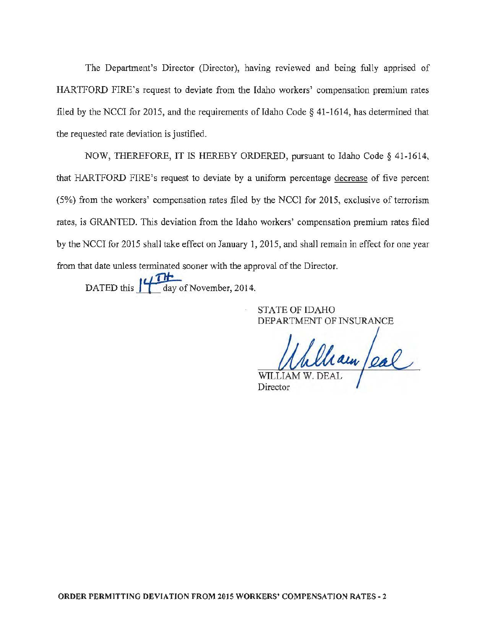The Department's Director (Director), having reviewed and being fully apprised of HARTFORD FIRE's request to deviate from the Idaho workers' compensation premium rates filed by the NCCI for 2015, and the requirements of Idaho Code § 41-1614, has determined that the requested rate deviation is justified.

NOW, THEREFORE, IT IS HEREBY ORDERED, pursuant to Idaho Code § 41-1614, that HARTFORD FIRE's request to deviate by a uniform percentage decrease of five percent (5%) from the workers' compensation rates filed by the NCCI for 2015, exclusive of terrorism rates, is GRANTED. This deviation from the Idaho workers' compensation premium rates filed by the NCCI for 2015 shall take effect on January 1, 2015, and shall remain in effect for one year from that date unless terminated sooner with the approval of the Director.

DATED this  $\frac{1}{\sqrt{\frac{1}{\text{day of November}}}$ , 2014.

STATE OF IDAHO DEPARTMENT OF INSURANCE

William /eal

Director